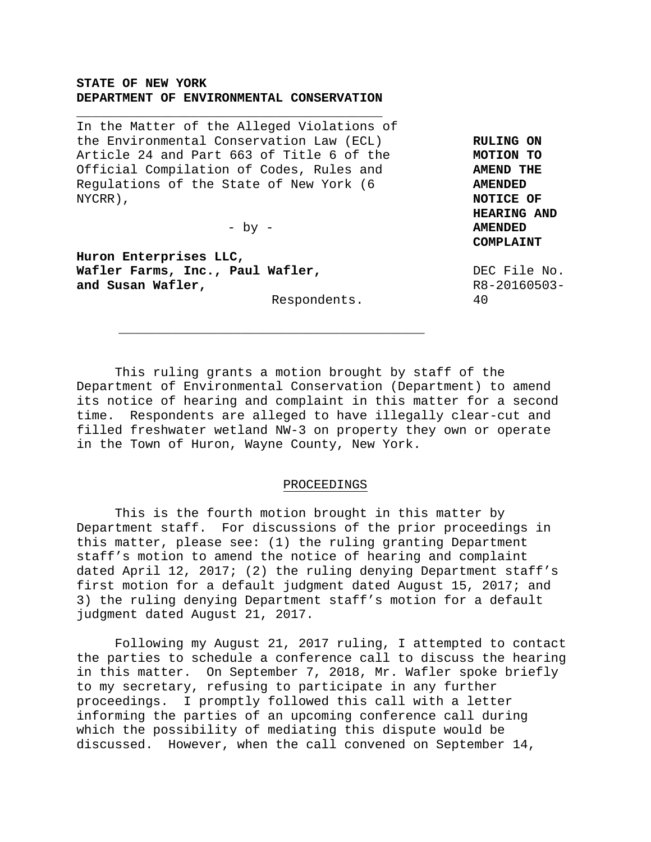### **STATE OF NEW YORK DEPARTMENT OF ENVIRONMENTAL CONSERVATION**

**\_\_\_\_\_\_\_\_\_\_\_\_\_\_\_\_\_\_\_\_\_\_\_\_\_\_\_\_\_\_\_\_\_\_\_\_\_\_\_\_** 

In the Matter of the Alleged Violations of the Environmental Conservation Law (ECL) Article 24 and Part 663 of Title 6 of the Official Compilation of Codes, Rules and Regulations of the State of New York (6 NYCRR),

 $-$  by  $-$ 

**\_\_\_\_\_\_\_\_\_\_\_\_\_\_\_\_\_\_\_\_\_\_\_\_\_\_\_\_\_\_\_\_\_\_\_\_\_\_\_\_**

**Huron Enterprises LLC, Wafler Farms, Inc., Paul Wafler, and Susan Wafler,** 

Respondents.

**RULING ON MOTION TO AMEND THE AMENDED NOTICE OF HEARING AND AMENDED COMPLAINT** 

DEC File No. R8-20160503- 40

 This ruling grants a motion brought by staff of the Department of Environmental Conservation (Department) to amend its notice of hearing and complaint in this matter for a second time. Respondents are alleged to have illegally clear-cut and filled freshwater wetland NW-3 on property they own or operate in the Town of Huron, Wayne County, New York.

#### PROCEEDINGS

 This is the fourth motion brought in this matter by Department staff. For discussions of the prior proceedings in this matter, please see: (1) the ruling granting Department staff's motion to amend the notice of hearing and complaint dated April 12, 2017; (2) the ruling denying Department staff's first motion for a default judgment dated August 15, 2017; and 3) the ruling denying Department staff's motion for a default judgment dated August 21, 2017.

 Following my August 21, 2017 ruling, I attempted to contact the parties to schedule a conference call to discuss the hearing in this matter. On September 7, 2018, Mr. Wafler spoke briefly to my secretary, refusing to participate in any further proceedings. I promptly followed this call with a letter informing the parties of an upcoming conference call during which the possibility of mediating this dispute would be discussed. However, when the call convened on September 14,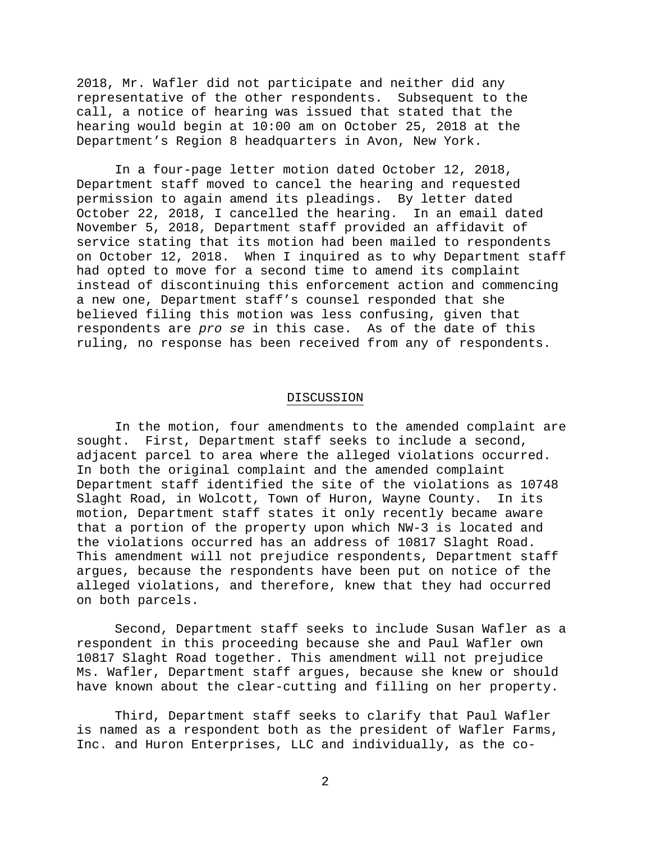2018, Mr. Wafler did not participate and neither did any representative of the other respondents. Subsequent to the call, a notice of hearing was issued that stated that the hearing would begin at 10:00 am on October 25, 2018 at the Department's Region 8 headquarters in Avon, New York.

 In a four-page letter motion dated October 12, 2018, Department staff moved to cancel the hearing and requested permission to again amend its pleadings. By letter dated October 22, 2018, I cancelled the hearing. In an email dated November 5, 2018, Department staff provided an affidavit of service stating that its motion had been mailed to respondents on October 12, 2018. When I inquired as to why Department staff had opted to move for a second time to amend its complaint instead of discontinuing this enforcement action and commencing a new one, Department staff's counsel responded that she believed filing this motion was less confusing, given that respondents are *pro se* in this case. As of the date of this ruling, no response has been received from any of respondents.

#### DISCUSSION

 In the motion, four amendments to the amended complaint are sought. First, Department staff seeks to include a second, adjacent parcel to area where the alleged violations occurred. In both the original complaint and the amended complaint Department staff identified the site of the violations as 10748 Slaght Road, in Wolcott, Town of Huron, Wayne County. In its motion, Department staff states it only recently became aware that a portion of the property upon which NW-3 is located and the violations occurred has an address of 10817 Slaght Road. This amendment will not prejudice respondents, Department staff argues, because the respondents have been put on notice of the alleged violations, and therefore, knew that they had occurred on both parcels.

 Second, Department staff seeks to include Susan Wafler as a respondent in this proceeding because she and Paul Wafler own 10817 Slaght Road together. This amendment will not prejudice Ms. Wafler, Department staff argues, because she knew or should have known about the clear-cutting and filling on her property.

 Third, Department staff seeks to clarify that Paul Wafler is named as a respondent both as the president of Wafler Farms, Inc. and Huron Enterprises, LLC and individually, as the co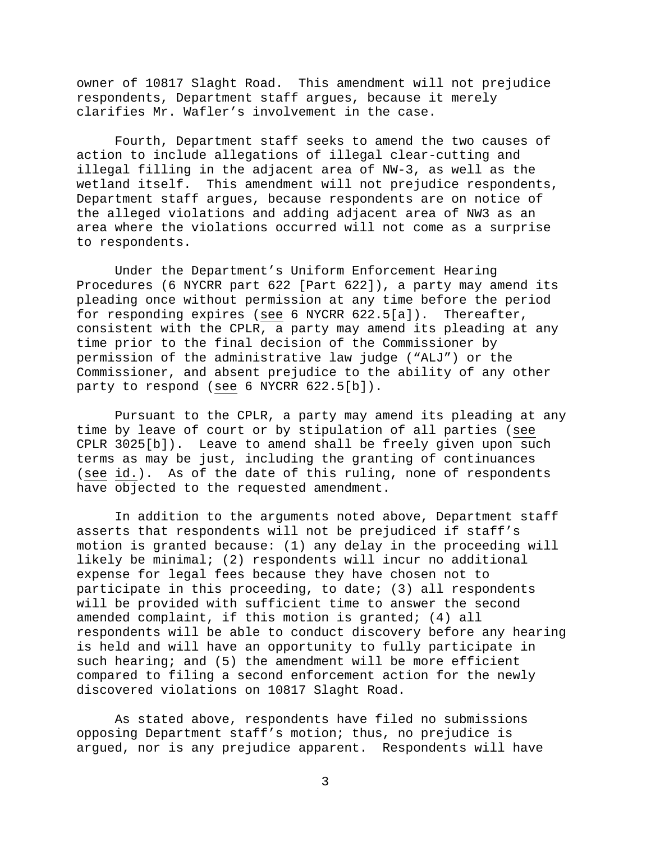owner of 10817 Slaght Road. This amendment will not prejudice respondents, Department staff argues, because it merely clarifies Mr. Wafler's involvement in the case.

 Fourth, Department staff seeks to amend the two causes of action to include allegations of illegal clear-cutting and illegal filling in the adjacent area of NW-3, as well as the wetland itself. This amendment will not prejudice respondents, Department staff argues, because respondents are on notice of the alleged violations and adding adjacent area of NW3 as an area where the violations occurred will not come as a surprise to respondents.

 Under the Department's Uniform Enforcement Hearing Procedures (6 NYCRR part 622 [Part 622]), a party may amend its pleading once without permission at any time before the period for responding expires (see 6 NYCRR 622.5[a]). Thereafter, consistent with the CPLR, a party may amend its pleading at any time prior to the final decision of the Commissioner by permission of the administrative law judge ("ALJ") or the Commissioner, and absent prejudice to the ability of any other party to respond (see 6 NYCRR 622.5[b]).

 Pursuant to the CPLR, a party may amend its pleading at any time by leave of court or by stipulation of all parties (see CPLR 3025[b]). Leave to amend shall be freely given upon such terms as may be just, including the granting of continuances (see id.). As of the date of this ruling, none of respondents have objected to the requested amendment.

 In addition to the arguments noted above, Department staff asserts that respondents will not be prejudiced if staff's motion is granted because: (1) any delay in the proceeding will likely be minimal; (2) respondents will incur no additional expense for legal fees because they have chosen not to participate in this proceeding, to date; (3) all respondents will be provided with sufficient time to answer the second amended complaint, if this motion is granted; (4) all respondents will be able to conduct discovery before any hearing is held and will have an opportunity to fully participate in such hearing; and (5) the amendment will be more efficient compared to filing a second enforcement action for the newly discovered violations on 10817 Slaght Road.

 As stated above, respondents have filed no submissions opposing Department staff's motion; thus, no prejudice is argued, nor is any prejudice apparent. Respondents will have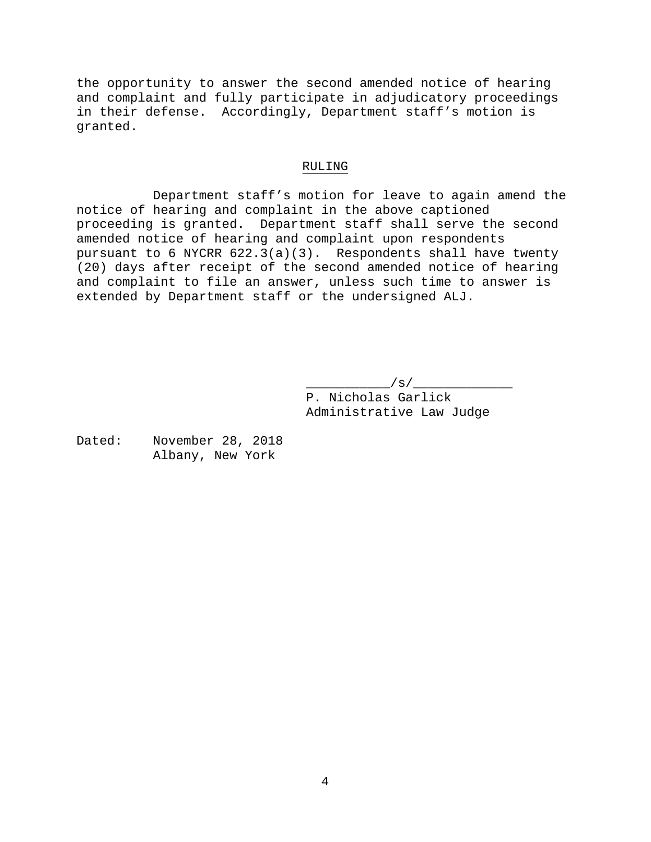the opportunity to answer the second amended notice of hearing and complaint and fully participate in adjudicatory proceedings in their defense. Accordingly, Department staff's motion is granted.

#### RULING

 Department staff's motion for leave to again amend the notice of hearing and complaint in the above captioned proceeding is granted. Department staff shall serve the second amended notice of hearing and complaint upon respondents pursuant to 6 NYCRR  $622.3(a)(3)$ . Respondents shall have twenty (20) days after receipt of the second amended notice of hearing and complaint to file an answer, unless such time to answer is extended by Department staff or the undersigned ALJ.

> $\angle$  s/ $\angle$  P. Nicholas Garlick Administrative Law Judge

Dated: November 28, 2018 Albany, New York